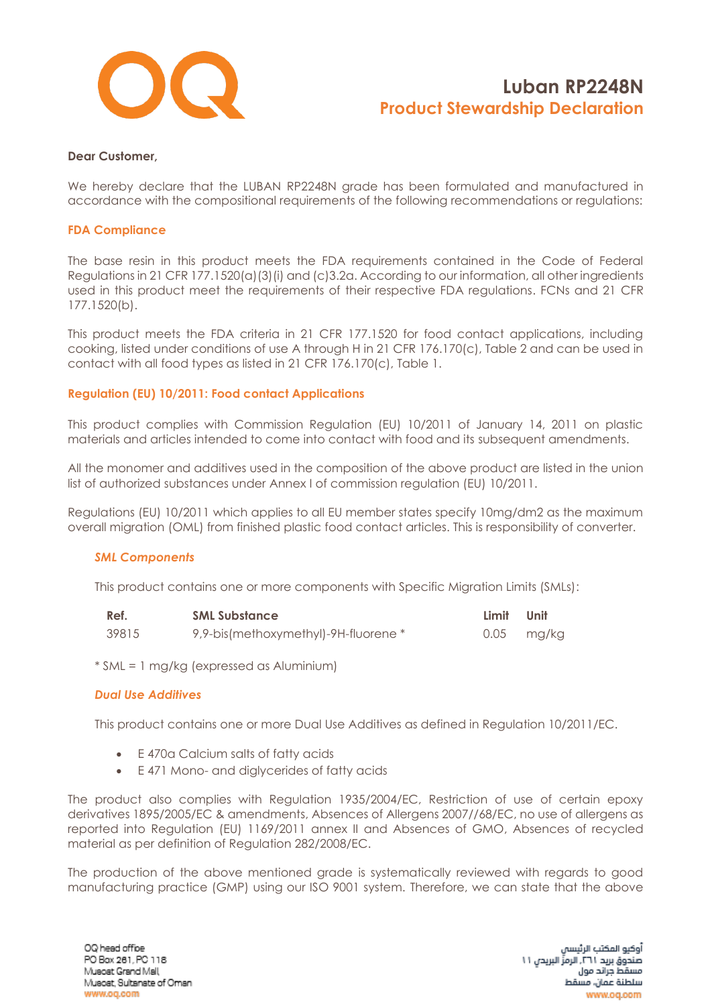

#### **Dear Customer,**

We hereby declare that the LUBAN RP2248N grade has been formulated and manufactured in accordance with the compositional requirements of the following recommendations or regulations:

#### **FDA Compliance**

The base resin in this product meets the FDA requirements contained in the Code of Federal Regulations in 21 CFR 177.1520(a)(3)(i) and (c)3.2a. According to our information, all other ingredients used in this product meet the requirements of their respective FDA regulations. FCNs and 21 CFR 177.1520(b).

This product meets the FDA criteria in 21 CFR 177.1520 for food contact applications, including cooking, listed under conditions of use A through H in 21 CFR 176.170(c), Table 2 and can be used in contact with all food types as listed in 21 CFR 176.170(c), Table 1.

### **Regulation (EU) 10/2011: Food contact Applications**

This product complies with Commission Regulation (EU) 10/2011 of January 14, 2011 on plastic materials and articles intended to come into contact with food and its subsequent amendments.

All the monomer and additives used in the composition of the above product are listed in the union list of authorized substances under Annex I of commission regulation (EU) 10/2011.

Regulations (EU) 10/2011 which applies to all EU member states specify 10mg/dm2 as the maximum overall migration (OML) from finished plastic food contact articles. This is responsibility of converter.

#### *SML Components*

This product contains one or more components with Specific Migration Limits (SMLs):

| Ref.  | <b>SML Substance</b>                 | Limit Unit |            |
|-------|--------------------------------------|------------|------------|
| 39815 | 9,9-bis(methoxymethyl)-9H-fluorene * |            | 0.05 mg/kg |

\* SML = 1 mg/kg (expressed as Aluminium)

#### *Dual Use Additives*

This product contains one or more Dual Use Additives as defined in Regulation 10/2011/EC.

- E 470a Calcium salts of fatty acids
- E 471 Mono- and diglycerides of fatty acids

The product also complies with Regulation 1935/2004/EC, Restriction of use of certain epoxy derivatives 1895/2005/EC & amendments, Absences of Allergens 2007//68/EC, no use of allergens as reported into Regulation (EU) 1169/2011 annex II and Absences of GMO, Absences of recycled material as per definition of Regulation 282/2008/EC.

The production of the above mentioned grade is systematically reviewed with regards to good manufacturing practice (GMP) using our ISO 9001 system. Therefore, we can state that the above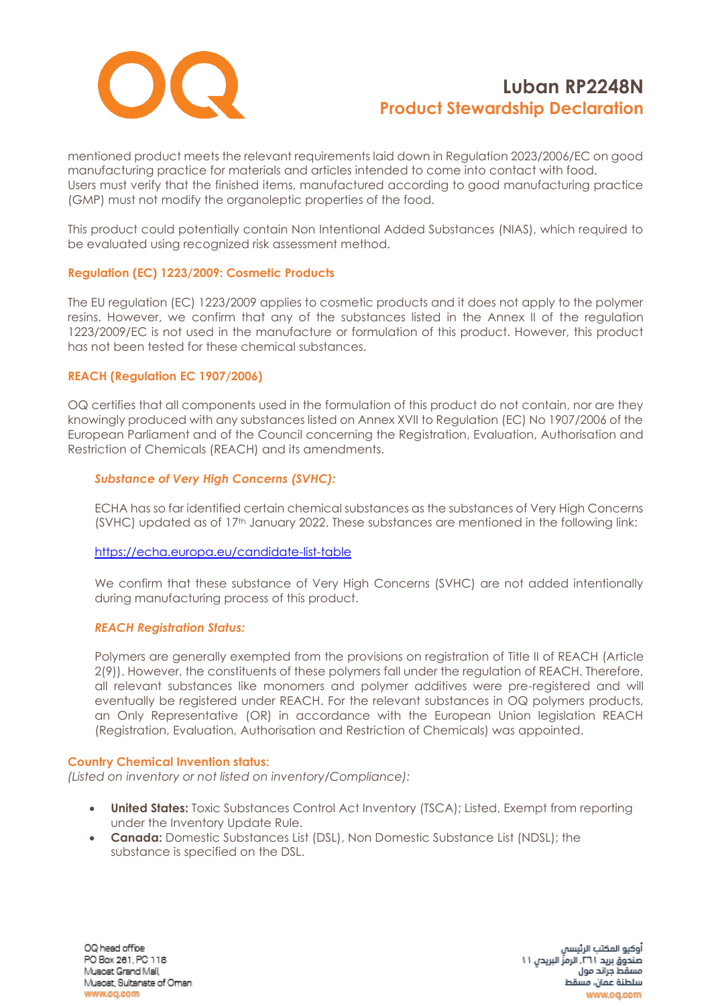

mentioned product meets the relevant requirements laid down in Regulation 2023/2006/EC on good manufacturing practice for materials and articles intended to come into contact with food. Users must verify that the finished items, manufactured according to good manufacturing practice (GMP) must not modify the organoleptic properties of the food.

This product could potentially contain Non Intentional Added Substances (NIAS), which required to be evaluated using recognized risk assessment method.

### **Regulation (EC) 1223/2009: Cosmetic Products**

The EU regulation (EC) 1223/2009 applies to cosmetic products and it does not apply to the polymer resins. However, we confirm that any of the substances listed in the Annex II of the regulation 1223/2009/EC is not used in the manufacture or formulation of this product. However, this product has not been tested for these chemical substances.

### **REACH (Regulation EC 1907/2006)**

OQ certifies that all components used in the formulation of this product do not contain, nor are they knowingly produced with any substances listed on Annex XVII to Regulation (EC) No 1907/2006 of the European Parliament and of the Council concerning the Registration, Evaluation, Authorisation and Restriction of Chemicals (REACH) and its amendments.

## *Substance of Very High Concerns (SVHC):*

ECHA has so far identified certain chemical substances as the substances of Very High Concerns  $(SVHC)$  updated as of  $17<sup>th</sup>$  January 2022. These substances are mentioned in the following link:

### <https://echa.europa.eu/candidate-list-table>

We confirm that these substance of Very High Concerns (SVHC) are not added intentionally during manufacturing process of this product.

### *REACH Registration Status:*

Polymers are generally exempted from the provisions on registration of Title II of REACH (Article 2(9)). However, the constituents of these polymers fall under the regulation of REACH. Therefore, all relevant substances like monomers and polymer additives were pre-registered and will eventually be registered under REACH. For the relevant substances in OQ polymers products, an Only Representative (OR) in accordance with the European Union legislation REACH (Registration, Evaluation, Authorisation and Restriction of Chemicals) was appointed.

### **Country Chemical Invention status:**

*(Listed on inventory or not listed on inventory/Compliance):*

- **United States:** Toxic Substances Control Act Inventory (TSCA); Listed, Exempt from reporting under the Inventory Update Rule.
- **Canada:** Domestic Substances List (DSL), Non Domestic Substance List (NDSL); the substance is specified on the DSL.

OQ head office PO Box 261, PC 118 Muscat Grand Mall Muscat, Sultanate of Oman www.og.com

أوكيو المكتب الرئيسا صندوق بريد ٢٦١. الرمزِّ البريدن ١١ مسقط جراتد مول سلطنة عمان، مسقط www.oq.com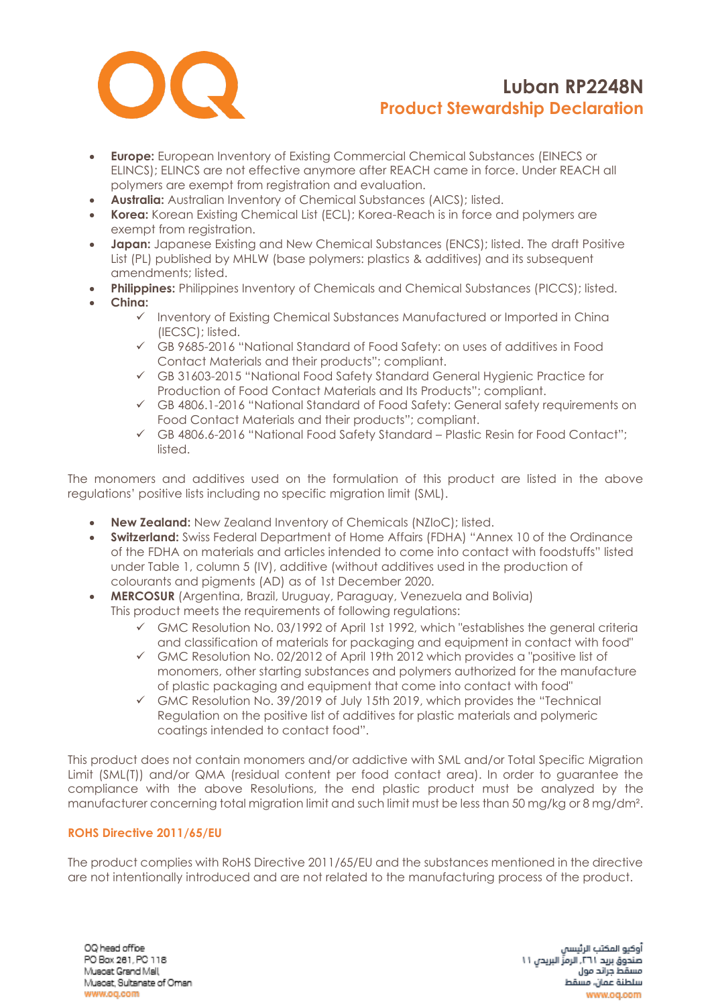

- **Europe:** European Inventory of Existing Commercial Chemical Substances (EINECS or ELINCS); ELINCS are not effective anymore after REACH came in force. Under REACH all polymers are exempt from registration and evaluation.
- **Australia:** Australian Inventory of Chemical Substances (AICS); listed.
- **Korea:** Korean Existing Chemical List (ECL); Korea-Reach is in force and polymers are exempt from registration.
- **Japan:** Japanese Existing and New Chemical Substances (ENCS); listed. The draft Positive List (PL) published by MHLW (base polymers: plastics & additives) and its subsequent amendments; listed.
- **Philippines:** Philippines Inventory of Chemicals and Chemical Substances (PICCS); listed.
- **China:**
	- ✓ Inventory of Existing Chemical Substances Manufactured or Imported in China (IECSC); listed.
	- ✓ GB 9685-2016 "National Standard of Food Safety: on uses of additives in Food Contact Materials and their products"; compliant.
	- ✓ GB 31603-2015 "National Food Safety Standard General Hygienic Practice for Production of Food Contact Materials and Its Products"; compliant.
	- ✓ GB 4806.1-2016 "National Standard of Food Safety: General safety requirements on Food Contact Materials and their products"; compliant.
	- ✓ GB 4806.6-2016 "National Food Safety Standard Plastic Resin for Food Contact"; listed.

The monomers and additives used on the formulation of this product are listed in the above regulations' positive lists including no specific migration limit (SML).

- **New Zealand:** New Zealand Inventory of Chemicals (NZIoC); listed.
- **Switzerland:** Swiss Federal Department of Home Affairs (FDHA) "Annex 10 of the Ordinance of the FDHA on materials and articles intended to come into contact with foodstuffs" listed under Table 1, column 5 (IV), additive (without additives used in the production of colourants and pigments (AD) as of 1st December 2020.
- **MERCOSUR** (Argentina, Brazil, Uruguay, Paraguay, Venezuela and Bolivia) This product meets the requirements of following regulations:
	- $\checkmark$  GMC Resolution No. 03/1992 of April 1st 1992, which "establishes the general criteria and classification of materials for packaging and equipment in contact with food"
	- ✓ GMC Resolution No. 02/2012 of April 19th 2012 which provides a "positive list of monomers, other starting substances and polymers authorized for the manufacture of plastic packaging and equipment that come into contact with food"
	- $\checkmark$  GMC Resolution No. 39/2019 of July 15th 2019, which provides the "Technical Regulation on the positive list of additives for plastic materials and polymeric coatings intended to contact food".

This product does not contain monomers and/or addictive with SML and/or Total Specific Migration Limit (SML(T)) and/or QMA (residual content per food contact area). In order to guarantee the compliance with the above Resolutions, the end plastic product must be analyzed by the manufacturer concerning total migration limit and such limit must be less than 50 mg/kg or 8 mg/dm².

### **ROHS Directive 2011/65/EU**

The product complies with RoHS Directive 2011/65/EU and the substances mentioned in the directive are not intentionally introduced and are not related to the manufacturing process of the product.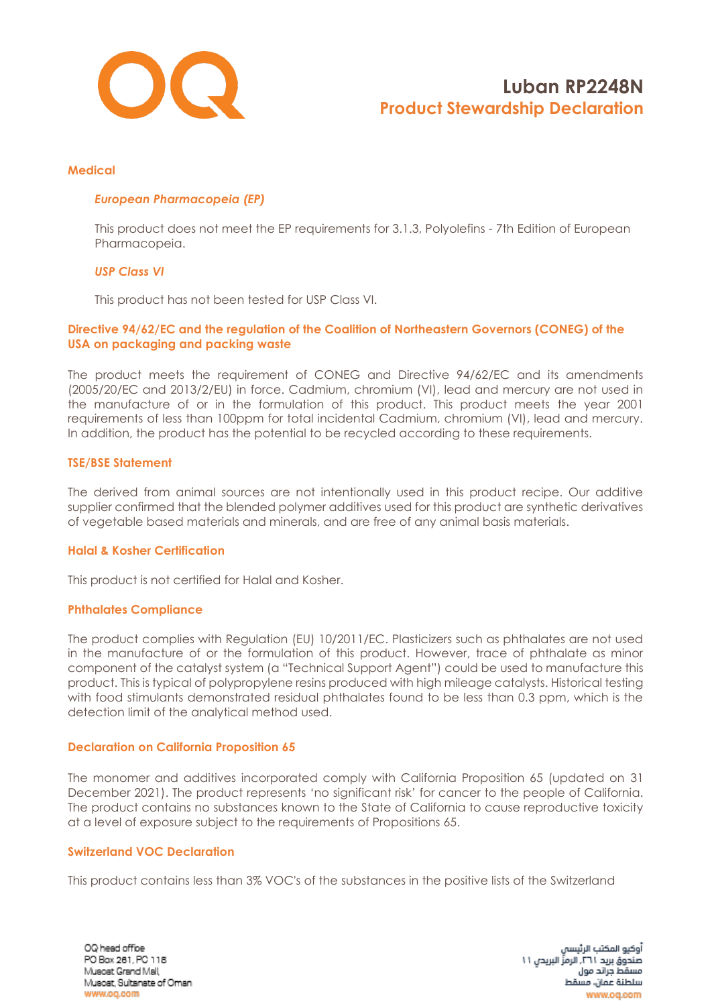

#### **Medical**

### *European Pharmacopeia (EP)*

This product does not meet the EP requirements for 3.1.3, Polyolefins - 7th Edition of European Pharmacopeia.

#### *USP Class VI*

This product has not been tested for USP Class VI.

### **Directive 94/62/EC and the regulation of the Coalition of Northeastern Governors (CONEG) of the USA on packaging and packing waste**

The product meets the requirement of CONEG and Directive 94/62/EC and its amendments (2005/20/EC and 2013/2/EU) in force. Cadmium, chromium (VI), lead and mercury are not used in the manufacture of or in the formulation of this product. This product meets the year 2001 requirements of less than 100ppm for total incidental Cadmium, chromium (VI), lead and mercury. In addition, the product has the potential to be recycled according to these requirements.

#### **TSE/BSE Statement**

The derived from animal sources are not intentionally used in this product recipe. Our additive supplier confirmed that the blended polymer additives used for this product are synthetic derivatives of vegetable based materials and minerals, and are free of any animal basis materials.

#### **Halal & Kosher Certification**

This product is not certified for Halal and Kosher.

### **Phthalates Compliance**

The product complies with Regulation (EU) 10/2011/EC. Plasticizers such as phthalates are not used in the manufacture of or the formulation of this product. However, trace of phthalate as minor component of the catalyst system (a "Technical Support Agent") could be used to manufacture this product. This is typical of polypropylene resins produced with high mileage catalysts. Historical testing with food stimulants demonstrated residual phthalates found to be less than 0.3 ppm, which is the detection limit of the analytical method used.

### **Declaration on California Proposition 65**

The monomer and additives incorporated comply with California Proposition 65 (updated on 31 December 2021). The product represents 'no significant risk' for cancer to the people of California. The product contains no substances known to the State of California to cause reproductive toxicity at a level of exposure subject to the requirements of Propositions 65.

#### **Switzerland VOC Declaration**

This product contains less than 3% VOC's of the substances in the positive lists of the Switzerland

OQ head office PO Box 261, PC 118 Muscat Grand Mall Muscat, Sultanate of Oman www.og.com

أوكيو المكتب الرئيسا صندوق بريد ٢٦١. الرمزِّ البريدن ١١ مسقط جراند مول سلطنة عمان، مسقط www.oq.com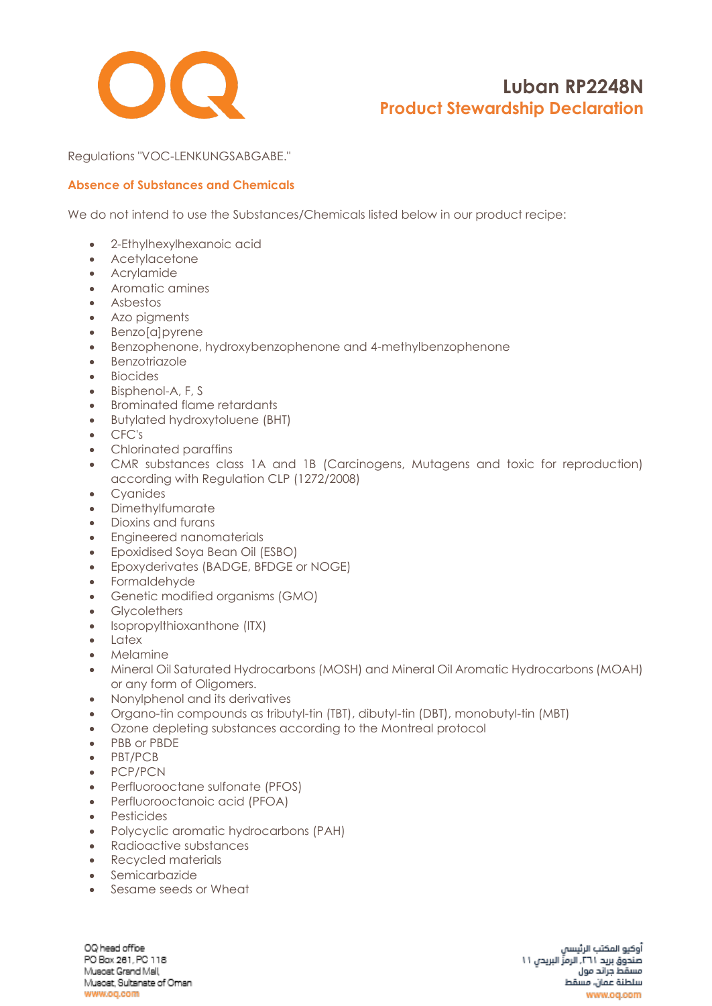

Regulations "VOC-LENKUNGSABGABE."

# **Absence of Substances and Chemicals**

We do not intend to use the Substances/Chemicals listed below in our product recipe:

- 2-Ethylhexylhexanoic acid
- Acetylacetone
- Acrylamide
- Aromatic amines
- Asbestos
- Azo pigments
- Benzo[a]pyrene
- Benzophenone, hydroxybenzophenone and 4-methylbenzophenone
- Benzotriazole
- Biocides
- Bisphenol-A, F, S
- Brominated flame retardants
- Butylated hydroxytoluene (BHT)
- CFC's
- Chlorinated paraffins
- CMR substances class 1A and 1B (Carcinogens, Mutagens and toxic for reproduction) according with Regulation CLP (1272/2008)
- Cyanides
- Dimethylfumarate
- Dioxins and furans
- Engineered nanomaterials
- Epoxidised Soya Bean Oil (ESBO)
- Epoxyderivates (BADGE, BFDGE or NOGE)
- Formaldehyde
- Genetic modified organisms (GMO)
- Glycolethers
- [Isopropylthioxanthone](https://www.google.com/search?rlz=1C1CHBF_enAE772AE772&q=Isopropylthioxanthone+(ITX)&spell=1&sa=X&ved=0ahUKEwjZgv6l6_fZAhWOblAKHQZfCSMQkeECCCIoAA) (ITX)
- Latex
- Melamine
- Mineral Oil Saturated Hydrocarbons (MOSH) and Mineral Oil Aromatic Hydrocarbons (MOAH) or any form of Oligomers.
- Nonylphenol and its derivatives
- Organo-tin compounds as tributyl-tin (TBT), dibutyl-tin (DBT), monobutyl-tin (MBT)
- Ozone depleting substances according to the Montreal protocol
- PBB or PBDE
- PBT/PCB
- PCP/PCN
- Perfluorooctane sulfonate (PFOS)
- Perfluorooctanoic acid (PFOA)
- Pesticides
- Polycyclic aromatic hydrocarbons (PAH)
- Radioactive substances
- Recycled materials
- Semicarbazide
- Sesame seeds or Wheat

OQ head office PO Box 261, PC 118 Muscat Grand Mall, Muscat, Sultanate of Oman www.oq.com